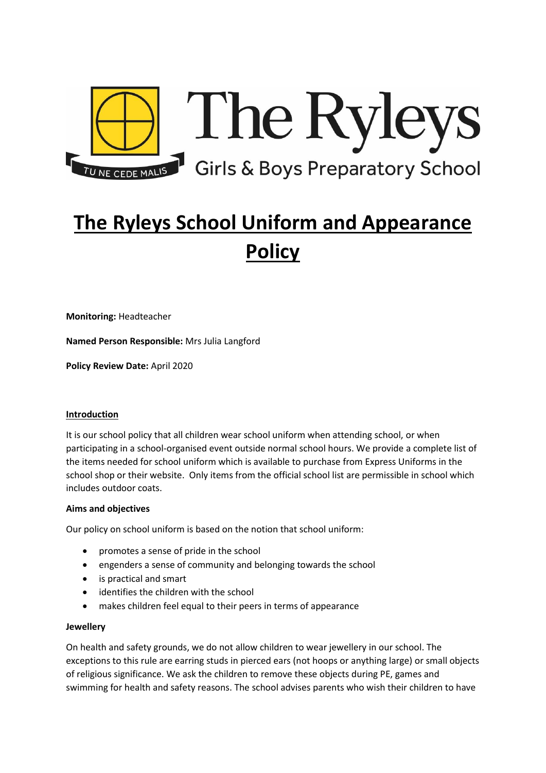

# **The Ryleys School Uniform and Appearance Policy**

**Monitoring:** Headteacher

**Named Person Responsible:** Mrs Julia Langford

**Policy Review Date:** April 2020

# **Introduction**

It is our school policy that all children wear school uniform when attending school, or when participating in a school-organised event outside normal school hours. We provide a complete list of the items needed for school uniform which is available to purchase from Express Uniforms in the school shop or their website. Only items from the official school list are permissible in school which includes outdoor coats.

#### **Aims and objectives**

Our policy on school uniform is based on the notion that school uniform:

- promotes a sense of pride in the school
- engenders a sense of community and belonging towards the school
- is practical and smart
- identifies the children with the school
- makes children feel equal to their peers in terms of appearance

#### **Jewellery**

On health and safety grounds, we do not allow children to wear jewellery in our school. The exceptions to this rule are earring studs in pierced ears (not hoops or anything large) or small objects of religious significance. We ask the children to remove these objects during PE, games and swimming for health and safety reasons. The school advises parents who wish their children to have